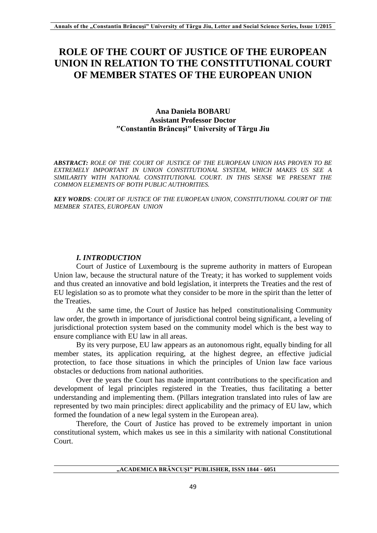# **ROLE OF THE COURT OF JUSTICE OF THE EUROPEAN UNION IN RELATION TO THE CONSTITUTIONAL COURT OF MEMBER STATES OF THE EUROPEAN UNION**

# **Ana Daniela BOBARU Assistant Professor Doctor ″Constantin Brâncuşi″ University of Târgu Jiu**

*ABSTRACT: ROLE OF THE COURT OF JUSTICE OF THE EUROPEAN UNION HAS PROVEN TO BE EXTREMELY IMPORTANT IN UNION CONSTITUTIONAL SYSTEM, WHICH MAKES US SEE A SIMILARITY WITH NATIONAL CONSTITUTIONAL COURT. IN THIS SENSE WE PRESENT THE COMMON ELEMENTS OF BOTH PUBLIC AUTHORITIES.* 

*KEY WORDS: COURT OF JUSTICE OF THE EUROPEAN UNION, CONSTITUTIONAL COURT OF THE MEMBER STATES, EUROPEAN UNION*

# *I. INTRODUCTION*

Court of Justice of Luxembourg is the supreme authority in matters of European Union law, because the structural nature of the Treaty; it has worked to supplement voids and thus created an innovative and bold legislation, it interprets the Treaties and the rest of EU legislation so as to promote what they consider to be more in the spirit than the letter of the Treaties.

At the same time, the Court of Justice has helped constitutionalising Community law order, the growth in importance of jurisdictional control being significant, a leveling of jurisdictional protection system based on the community model which is the best way to ensure compliance with EU law in all areas.

By its very purpose, EU law appears as an autonomous right, equally binding for all member states, its application requiring, at the highest degree, an effective judicial protection, to face those situations in which the principles of Union law face various obstacles or deductions from national authorities.

Over the years the Court has made important contributions to the specification and development of legal principles registered in the Treaties, thus facilitating a better understanding and implementing them. (Pillars integration translated into rules of law are represented by two main principles: direct applicability and the primacy of EU law, which formed the foundation of a new legal system in the European area).

Therefore, the Court of Justice has proved to be extremely important in union constitutional system, which makes us see in this a similarity with national Constitutional Court.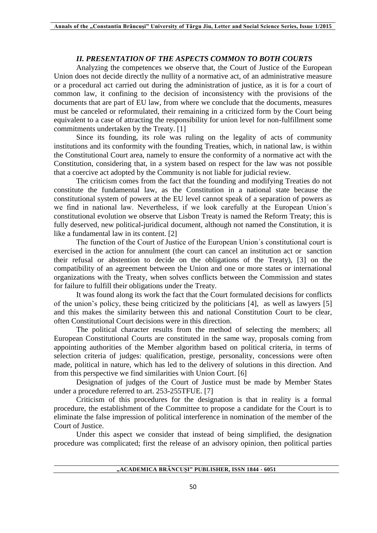### *II. PRESENTATION OF THE ASPECTS COMMON TO BOTH COURTS*

Analyzing the competences we observe that, the Court of Justice of the European Union does not decide directly the nullity of a normative act, of an administrative measure or a procedural act carried out during the administration of justice, as it is for a court of common law, it confining to the decision of inconsistency with the provisions of the documents that are part of EU law, from where we conclude that the documents, measures must be canceled or reformulated, their remaining in a criticized form by the Court being equivalent to a case of attracting the responsibility for union level for non-fulfillment some commitments undertaken by the Treaty. [1]

Since its founding, its role was ruling on the legality of acts of community institutions and its conformity with the founding Treaties, which, in national law, is within the Constitutional Court area, namely to ensure the conformity of a normative act with the Constitution, considering that, in a system based on respect for the law was not possible that a coercive act adopted by the Community is not liable for judicial review.

The criticism comes from the fact that the founding and modifying Treaties do not constitute the fundamental law, as the Constitution in a national state because the constitutional system of powers at the EU level cannot speak of a separation of powers as we find in national law. Nevertheless, if we look carefully at the European Union΄s constitutional evolution we observe that Lisbon Treaty is named the Reform Treaty; this is fully deserved, new political-juridical document, although not named the Constitution, it is like a fundamental law in its content. [2]

The function of the Court of Justice of the European Union΄s constitutional court is exercised in the action for annulment (the court can cancel an institution act or sanction their refusal or abstention to decide on the obligations of the Treaty), [3] on the compatibility of an agreement between the Union and one or more states or international organizations with the Treaty, when solves conflicts between the Commission and states for failure to fulfill their obligations under the Treaty.

It was found along its work the fact that the Court formulated decisions for conflicts of the union's policy, these being criticized by the politicians [4], as well as lawyers [5] and this makes the similarity between this and national Constitution Court to be clear, often Constitutional Court decisions were in this direction.

The political character results from the method of selecting the members; all European Constitutional Courts are constituted in the same way, proposals coming from appointing authorities of the Member algorithm based on political criteria, in terms of selection criteria of judges: qualification, prestige, personality, concessions were often made, political in nature, which has led to the delivery of solutions in this direction. And from this perspective we find similarities with Union Court. [6]

Designation of judges of the Court of Justice must be made by Member States under a procedure referred to art. 253-255TFUE. [7]

Criticism of this procedures for the designation is that in reality is a formal procedure, the establishment of the Committee to propose a candidate for the Court is to eliminate the false impression of political interference in nomination of the member of the Court of Justice.

Under this aspect we consider that instead of being simplified, the designation procedure was complicated; first the release of an advisory opinion, then political parties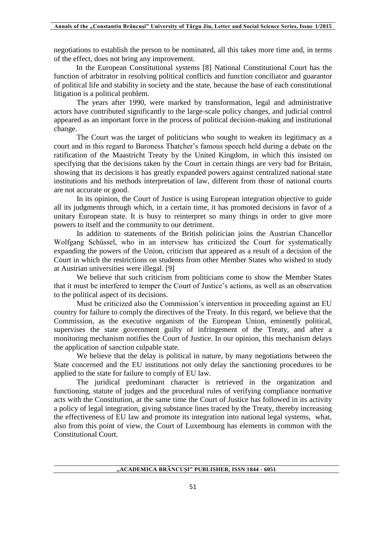negotiations to establish the person to be nominated, all this takes more time and, in terms of the effect, does not bring any improvement.

In the European Constitutional systems [8] National Constitutional Court has the function of arbitrator in resolving political conflicts and function conciliator and guarantor of political life and stability in society and the state, because the base of each constitutional litigation is a political problem.

The years after 1990, were marked by transformation, legal and administrative actors have contributed significantly to the large-scale policy changes, and judicial control appeared as an important force in the process of political decision-making and institutional change.

The Court was the target of politicians who sought to weaken its legitimacy as a court and in this regard to Baroness Thatcher's famous speech held during a debate on the ratification of the Maastricht Treaty by the United Kingdom, in which this insisted on specifying that the decisions taken by the Court in certain things are very bad for Britain, showing that its decisions it has greatly expanded powers against centralized national state institutions and his methods interpretation of law, different from those of national courts are not accurate or good.

In its opinion, the Court of Justice is using European integration objective to guide all its judgments through which, in a certain time, it has promoted decisions in favor of a unitary European state. It is busy to reinterpret so many things in order to give more powers to itself and the community to our detriment.

In addition to statements of the British politician joins the Austrian Chancellor Wolfgang Schűssel, who in an interview has criticized the Court for systematically expanding the powers of the Union, criticism that appeared as a result of a decision of the Court in which the restrictions on students from other Member States who wished to study at Austrian universities were illegal. [9]

We believe that such criticism from politicians come to show the Member States that it must be interfered to temper the Court of Justice's actions, as well as an observation to the political aspect of its decisions.

Must be criticized also the Commission's intervention in proceeding against an EU country for failure to comply the directives of the Treaty. In this regard, we believe that the Commission, as the executive organism of the European Union, eminently political, supervises the state government guilty of infringement of the Treaty, and after a monitoring mechanism notifies the Court of Justice. In our opinion, this mechanism delays the application of sanction culpable state.

We believe that the delay is political in nature, by many negotiations between the State concerned and the EU institutions not only delay the sanctioning procedures to be applied to the state for failure to comply of EU law.

The juridical predominant character is retrieved in the organization and functioning, statute of judges and the procedural rules of verifying compliance normative acts with the Constitution, at the same time the Court of Justice has followed in its activity a policy of legal integration, giving substance lines traced by the Treaty, thereby increasing the effectiveness of EU law and promote its integration into national legal systems, what, also from this point of view, the Court of Luxembourg has elements in common with the Constitutional Court.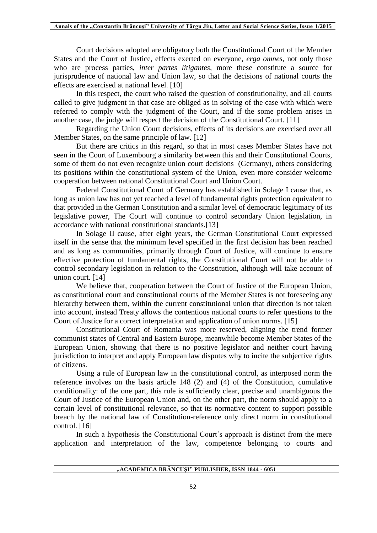Court decisions adopted are obligatory both the Constitutional Court of the Member States and the Court of Justice, effects exerted on everyone, *erga omnes*, not only those who are process parties, *inter partes litigantes,* more these constitute a source for jurisprudence of national law and Union law, so that the decisions of national courts the effects are exercised at national level. [10]

In this respect, the court who raised the question of constitutionality, and all courts called to give judgment in that case are obliged as in solving of the case with which were referred to comply with the judgment of the Court, and if the some problem arises in another case, the judge will respect the decision of the Constitutional Court. [11]

Regarding the Union Court decisions, effects of its decisions are exercised over all Member States, on the same principle of law. [12]

But there are critics in this regard, so that in most cases Member States have not seen in the Court of Luxembourg a similarity between this and their Constitutional Courts, some of them do not even recognize union court decisions (Germany), others considering its positions within the constitutional system of the Union, even more consider welcome cooperation between national Constitutional Court and Union Court.

Federal Constitutional Court of Germany has established in Solage I cause that, as long as union law has not yet reached a level of fundamental rights protection equivalent to that provided in the German Constitution and a similar level of democratic legitimacy of its legislative power, The Court will continue to control secondary Union legislation, in accordance with national constitutional standards.[13]

In Solage II cause, after eight years, the German Constitutional Court expressed itself in the sense that the minimum level specified in the first decision has been reached and as long as communities, primarily through Court of Justice, will continue to ensure effective protection of fundamental rights, the Constitutional Court will not be able to control secondary legislation in relation to the Constitution, although will take account of union court. [14]

We believe that, cooperation between the Court of Justice of the European Union, as constitutional court and constitutional courts of the Member States is not foreseeing any hierarchy between them, within the current constitutional union that direction is not taken into account, instead Treaty allows the contentious national courts to refer questions to the Court of Justice for a correct interpretation and application of union norms. [15]

Constitutional Court of Romania was more reserved, aligning the trend former communist states of Central and Eastern Europe, meanwhile become Member States of the European Union, showing that there is no positive legislator and neither court having jurisdiction to interpret and apply European law disputes why to incite the subjective rights of citizens.

Using a rule of European law in the constitutional control, as interposed norm the reference involves on the basis article 148 (2) and (4) of the Constitution, cumulative conditionality: of the one part, this rule is sufficiently clear, precise and unambiguous the Court of Justice of the European Union and, on the other part, the norm should apply to a certain level of constitutional relevance, so that its normative content to support possible breach by the national law of Constitution-reference only direct norm in constitutional control. [16]

In such a hypothesis the Constitutional Court΄s approach is distinct from the mere application and interpretation of the law, competence belonging to courts and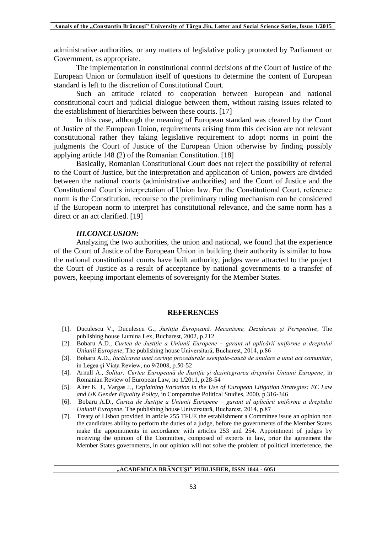administrative authorities, or any matters of legislative policy promoted by Parliament or Government, as appropriate.

The implementation in constitutional control decisions of the Court of Justice of the European Union or formulation itself of questions to determine the content of European standard is left to the discretion of Constitutional Court.

Such an attitude related to cooperation between European and national constitutional court and judicial dialogue between them, without raising issues related to the establishment of hierarchies between these courts. [17]

In this case, although the meaning of European standard was cleared by the Court of Justice of the European Union, requirements arising from this decision are not relevant constitutional rather they taking legislative requirement to adopt norms in point the judgments the Court of Justice of the European Union otherwise by finding possibly applying article 148 (2) of the Romanian Constitution. [18]

Basically, Romanian Constitutional Court does not reject the possibility of referral to the Court of Justice, but the interpretation and application of Union, powers are divided between the national courts (administrative authorities) and the Court of Justice and the Constitutional Court΄s interpretation of Union law. For the Constitutional Court, reference norm is the Constitution, recourse to the preliminary ruling mechanism can be considered if the European norm to interpret has constitutional relevance, and the same norm has a direct or an act clarified. [19]

#### *III.CONCLUSION:*

Analyzing the two authorities, the union and national, we found that the experience of the Court of Justice of the European Union in building their authority is similar to how the national constitutional courts have built authority, judges were attracted to the project the Court of Justice as a result of acceptance by national governments to a transfer of powers, keeping important elements of sovereignty for the Member States.

#### **REFERENCES**

- [1]. Duculescu V., Duculescu G., *Justiţia Europeană. Mecanisme, Deziderate şi Perspective*, The publishing house Lumina Lex, Bucharest, 2002, p.212
- [2]. Bobaru A.D., *Curtea de Justiţie a Uniunii Europene – garant al aplicării uniforme a dreptului Uniunii Europene*, The publishing house Universitară, Bucharest, 2014, p.86
- [3]. Bobaru A.D., *Încălcarea unei cerinţe procedurale esenţiale-cauză de anulare a unui act comunitar*, in Legea şi Viaţa Review, no 9/2008, p.50-52
- [4]. Arnull A., *Solitar: Curtea Europeană de Justiţie şi dezintegrarea dreptului Uniunii Europene*, in Romanian Review of European Law, no 1/2011, p.28-54
- [5]. Alter K. J., Vargas J., *Explaining Variation in the Use of European Litigation Strategies: EC Law and UK Gender Equality Policy,* in Comparative Political Studies, 2000, p.316-346
- [6]. Bobaru A.D., *Curtea de Justiţie a Uniunii Europene – garant al aplicării uniforme a dreptului Uniunii Europene*, The publishing house Universitară, Bucharest, 2014, p.87
- [7]. Treaty of Lisbon provided in article 255 TFUE the establishment a Committee issue an opinion non the candidates ability to perform the duties of a judge, before the governments of the Member States make the appointments in accordance with articles 253 and 254. Appointment of judges by receiving the opinion of the Committee, composed of experts in law, prior the agreement the Member States governments, in our opinion will not solve the problem of political interference, the

#### **"ACADEMICA BRÂNCUȘI" PUBLISHER, ISSN 1844 - 6051**